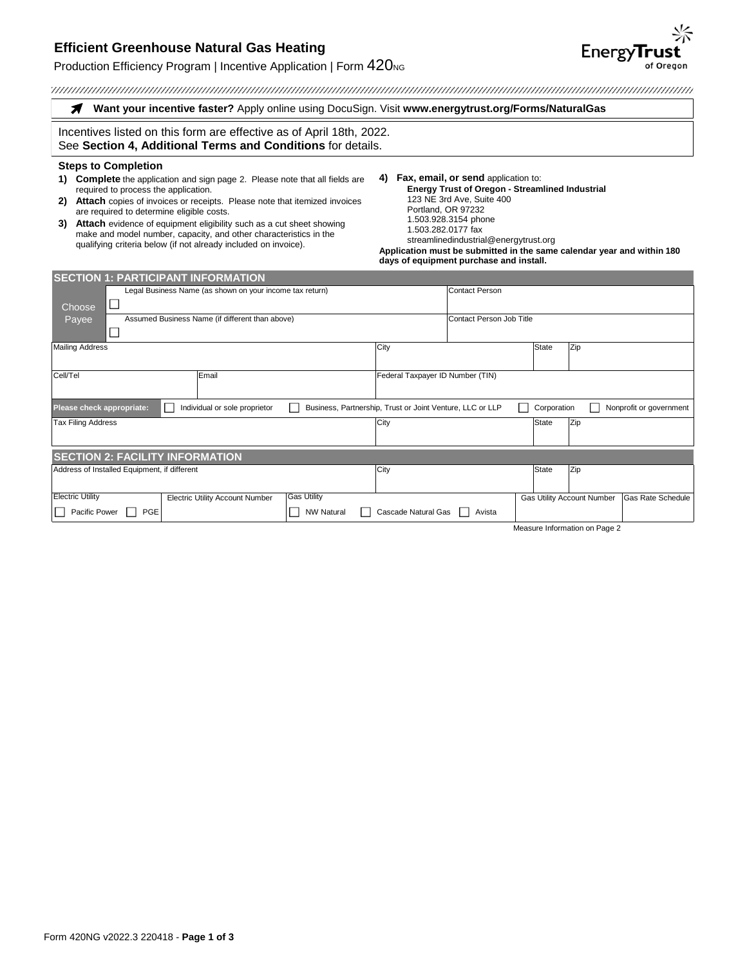# **Efficient Greenhouse Natural Gas Heating**

## Production Efficiency Program | Incentive Application | Form  $420<sub>NG</sub>$

| Want your incentive faster? Apply online using DocuSign. Visit www.energytrust.org/Forms/NaturalGas                                                                                                                                                                                                                                                                                                                                                                                                                |                   |                                                                                                                                                                                                                                                                                                                                                                    |                                                          |              |                                   |                          |  |
|--------------------------------------------------------------------------------------------------------------------------------------------------------------------------------------------------------------------------------------------------------------------------------------------------------------------------------------------------------------------------------------------------------------------------------------------------------------------------------------------------------------------|-------------------|--------------------------------------------------------------------------------------------------------------------------------------------------------------------------------------------------------------------------------------------------------------------------------------------------------------------------------------------------------------------|----------------------------------------------------------|--------------|-----------------------------------|--------------------------|--|
| Incentives listed on this form are effective as of April 18th, 2022.<br>See Section 4, Additional Terms and Conditions for details.                                                                                                                                                                                                                                                                                                                                                                                |                   |                                                                                                                                                                                                                                                                                                                                                                    |                                                          |              |                                   |                          |  |
| <b>Steps to Completion</b><br><b>Complete</b> the application and sign page 2. Please note that all fields are<br>1)<br>required to process the application.<br>Attach copies of invoices or receipts. Please note that itemized invoices<br>2)<br>are required to determine eligible costs.<br>Attach evidence of equipment eligibility such as a cut sheet showing<br>3)<br>make and model number, capacity, and other characteristics in the<br>qualifying criteria below (if not already included on invoice). |                   | Fax, email, or send application to:<br>4)<br><b>Energy Trust of Oregon - Streamlined Industrial</b><br>123 NE 3rd Ave, Suite 400<br>Portland, OR 97232<br>1.503.928.3154 phone<br>1.503.282.0177 fax<br>streamlinedindustrial@energytrust.org<br>Application must be submitted in the same calendar year and within 180<br>days of equipment purchase and install. |                                                          |              |                                   |                          |  |
| <b>SECTION 1: PARTICIPANT INFORMATION</b><br>Legal Business Name (as shown on your income tax return)<br>Choose<br>Assumed Business Name (if different than above)<br>Payee<br><b>Mailing Address</b>                                                                                                                                                                                                                                                                                                              |                   | City                                                                                                                                                                                                                                                                                                                                                               | <b>Contact Person</b><br><b>Contact Person Job Title</b> | <b>State</b> | Zip                               |                          |  |
| Cell/Tel<br>Email<br>Please check appropriate:<br>L.<br>Individual or sole proprietor                                                                                                                                                                                                                                                                                                                                                                                                                              |                   | Federal Taxpayer ID Number (TIN)<br>Business, Partnership, Trust or Joint Venture, LLC or LLP                                                                                                                                                                                                                                                                      |                                                          | Corporation  |                                   | Nonprofit or government  |  |
| <b>Tax Filing Address</b>                                                                                                                                                                                                                                                                                                                                                                                                                                                                                          |                   | City                                                                                                                                                                                                                                                                                                                                                               |                                                          | <b>State</b> | Zip                               |                          |  |
| <b>SECTION 2: FACILITY INFORMATION</b>                                                                                                                                                                                                                                                                                                                                                                                                                                                                             |                   |                                                                                                                                                                                                                                                                                                                                                                    |                                                          |              |                                   |                          |  |
| Address of Installed Equipment, if different                                                                                                                                                                                                                                                                                                                                                                                                                                                                       |                   | City                                                                                                                                                                                                                                                                                                                                                               |                                                          | State        | Zip                               |                          |  |
| <b>Electric Utility</b><br><b>Gas Utility</b><br><b>Electric Utility Account Number</b>                                                                                                                                                                                                                                                                                                                                                                                                                            |                   |                                                                                                                                                                                                                                                                                                                                                                    |                                                          |              | <b>Gas Utility Account Number</b> | <b>Gas Rate Schedule</b> |  |
| Pacific Power<br>PGE                                                                                                                                                                                                                                                                                                                                                                                                                                                                                               | <b>NW Natural</b> | Cascade Natural Gas                                                                                                                                                                                                                                                                                                                                                | Avista                                                   |              |                                   |                          |  |

Measure Information on Page 2

**EnergyTrust**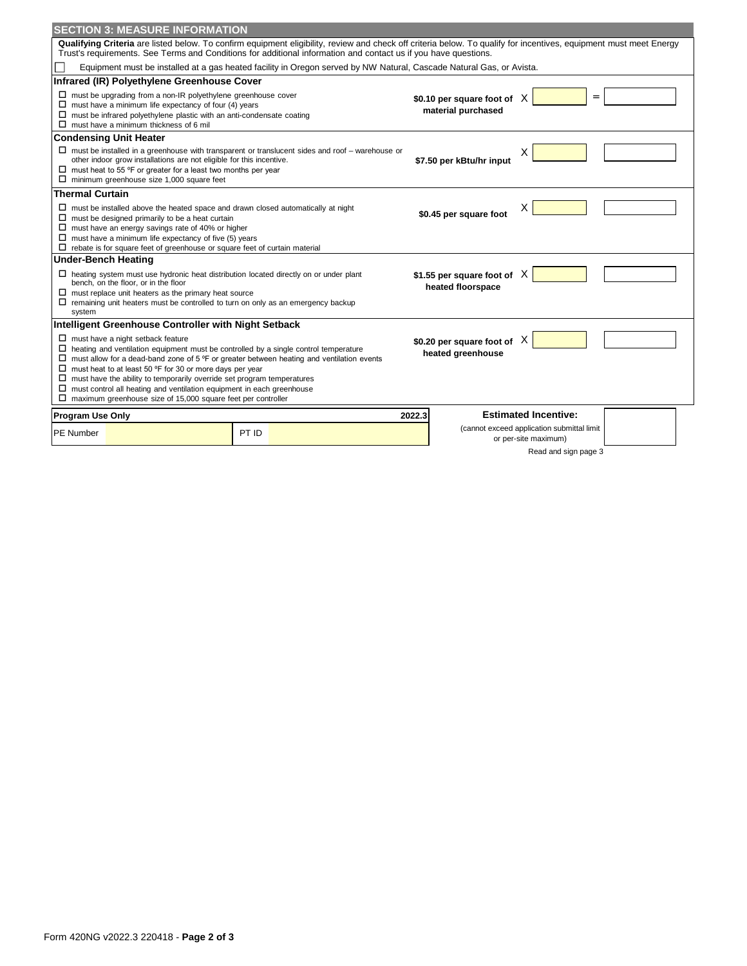|                            | <b>SECTION 3: MEASURE INFORMATION</b>                                                                                                                                                                                                                                                                                                                                                                                                                 |                                                                                                                                                                                                                                                                                       |        |                                                       |                                                                    |  |
|----------------------------|-------------------------------------------------------------------------------------------------------------------------------------------------------------------------------------------------------------------------------------------------------------------------------------------------------------------------------------------------------------------------------------------------------------------------------------------------------|---------------------------------------------------------------------------------------------------------------------------------------------------------------------------------------------------------------------------------------------------------------------------------------|--------|-------------------------------------------------------|--------------------------------------------------------------------|--|
|                            |                                                                                                                                                                                                                                                                                                                                                                                                                                                       | Qualifying Criteria are listed below. To confirm equipment eligibility, review and check off criteria below. To qualify for incentives, equipment must meet Energy<br>Trust's requirements. See Terms and Conditions for additional information and contact us if you have questions. |        |                                                       |                                                                    |  |
|                            |                                                                                                                                                                                                                                                                                                                                                                                                                                                       | Equipment must be installed at a gas heated facility in Oregon served by NW Natural, Cascade Natural Gas, or Avista.                                                                                                                                                                  |        |                                                       |                                                                    |  |
|                            | Infrared (IR) Polyethylene Greenhouse Cover                                                                                                                                                                                                                                                                                                                                                                                                           |                                                                                                                                                                                                                                                                                       |        |                                                       |                                                                    |  |
|                            | $\square$ must be upgrading from a non-IR polyethylene greenhouse cover<br>$\Box$ must have a minimum life expectancy of four (4) years<br>$\square$ must be infrared polyethylene plastic with an anti-condensate coating<br>$\Box$ must have a minimum thickness of 6 mil                                                                                                                                                                           |                                                                                                                                                                                                                                                                                       |        | \$0.10 per square foot of $X$<br>material purchased   | $=$                                                                |  |
|                            | <b>Condensing Unit Heater</b>                                                                                                                                                                                                                                                                                                                                                                                                                         |                                                                                                                                                                                                                                                                                       |        |                                                       |                                                                    |  |
|                            | other indoor grow installations are not eligible for this incentive.<br>$\Box$ must heat to 55 °F or greater for a least two months per year<br>$\Box$ minimum greenhouse size 1,000 square feet                                                                                                                                                                                                                                                      | $\Box$ must be installed in a greenhouse with transparent or translucent sides and roof – warehouse or                                                                                                                                                                                |        | \$7.50 per kBtu/hr input                              | х                                                                  |  |
| <b>Thermal Curtain</b>     |                                                                                                                                                                                                                                                                                                                                                                                                                                                       |                                                                                                                                                                                                                                                                                       |        |                                                       |                                                                    |  |
|                            | $\Box$ must be installed above the heated space and drawn closed automatically at night<br>$\Box$ must be designed primarily to be a heat curtain<br>$\Box$ must have an energy savings rate of 40% or higher<br>$\Box$ must have a minimum life expectancy of five (5) years<br>$\Box$ rebate is for square feet of greenhouse or square feet of curtain material                                                                                    |                                                                                                                                                                                                                                                                                       |        | \$0.45 per square foot                                |                                                                    |  |
| <b>Under-Bench Heating</b> |                                                                                                                                                                                                                                                                                                                                                                                                                                                       |                                                                                                                                                                                                                                                                                       |        |                                                       |                                                                    |  |
| system                     | $\Box$ heating system must use hydronic heat distribution located directly on or under plant<br>bench, on the floor, or in the floor<br>$\Box$ must replace unit heaters as the primary heat source<br>$\Box$ remaining unit heaters must be controlled to turn on only as an emergency backup                                                                                                                                                        |                                                                                                                                                                                                                                                                                       |        | \$1.55 per square foot of $\chi$<br>heated floorspace |                                                                    |  |
|                            | Intelligent Greenhouse Controller with Night Setback                                                                                                                                                                                                                                                                                                                                                                                                  |                                                                                                                                                                                                                                                                                       |        |                                                       |                                                                    |  |
|                            | $\Box$ must have a night setback feature<br>$\Box$ heating and ventilation equipment must be controlled by a single control temperature<br>$\Box$ must heat to at least 50 °F for 30 or more days per year<br>$\square$ must have the ability to temporarily override set program temperatures<br>$\Box$ must control all heating and ventilation equipment in each greenhouse<br>$\Box$ maximum greenhouse size of 15,000 square feet per controller | $\Box$ must allow for a dead-band zone of 5 °F or greater between heating and ventilation events                                                                                                                                                                                      |        | \$0.20 per square foot of $\chi$<br>heated greenhouse |                                                                    |  |
| <b>Program Use Only</b>    |                                                                                                                                                                                                                                                                                                                                                                                                                                                       |                                                                                                                                                                                                                                                                                       | 2022.3 |                                                       | <b>Estimated Incentive:</b>                                        |  |
| <b>PE Number</b>           |                                                                                                                                                                                                                                                                                                                                                                                                                                                       | PT ID                                                                                                                                                                                                                                                                                 |        |                                                       | (cannot exceed application submittal limit<br>or per-site maximum) |  |
|                            |                                                                                                                                                                                                                                                                                                                                                                                                                                                       |                                                                                                                                                                                                                                                                                       |        |                                                       | Read and sign page 3                                               |  |